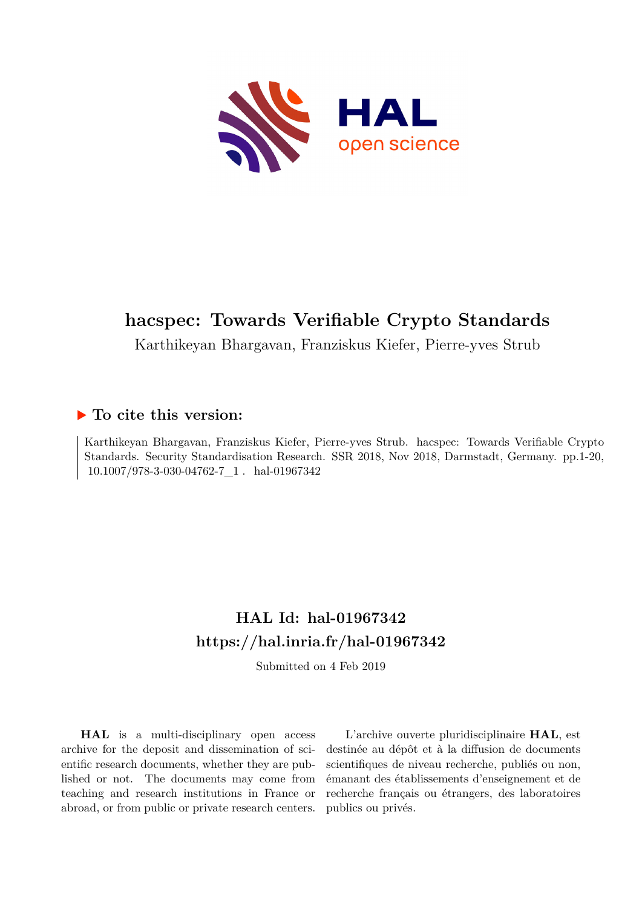

# **hacspec: Towards Verifiable Crypto Standards**

Karthikeyan Bhargavan, Franziskus Kiefer, Pierre-yves Strub

## **To cite this version:**

Karthikeyan Bhargavan, Franziskus Kiefer, Pierre-yves Strub. hacspec: Towards Verifiable Crypto Standards. Security Standardisation Research. SSR 2018, Nov 2018, Darmstadt, Germany. pp.1-20, ff10.1007/978-3-030-04762-7\_1ft. hal-01967342

## **HAL Id: hal-01967342 <https://hal.inria.fr/hal-01967342>**

Submitted on 4 Feb 2019

**HAL** is a multi-disciplinary open access archive for the deposit and dissemination of scientific research documents, whether they are published or not. The documents may come from teaching and research institutions in France or abroad, or from public or private research centers.

L'archive ouverte pluridisciplinaire **HAL**, est destinée au dépôt et à la diffusion de documents scientifiques de niveau recherche, publiés ou non, émanant des établissements d'enseignement et de recherche français ou étrangers, des laboratoires publics ou privés.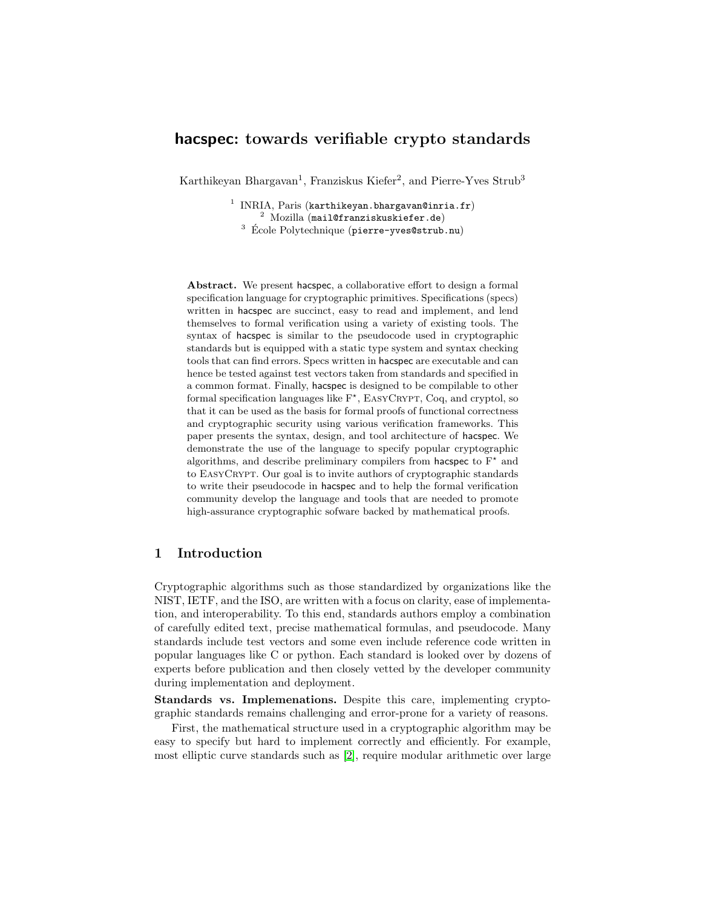## hacspec: towards verifiable crypto standards

Karthikeyan Bhargavan<sup>1</sup>, Franziskus Kiefer<sup>2</sup>, and Pierre-Yves Strub<sup>3</sup>

<sup>1</sup> INRIA, Paris (karthikeyan.bhargavan@inria.fr)  $2$  Mozilla (mail@franziskuskiefer.de)  $3$  École Polytechnique (pierre-yves@strub.nu)

Abstract. We present hacspec, a collaborative effort to design a formal specification language for cryptographic primitives. Specifications (specs) written in hacspec are succinct, easy to read and implement, and lend themselves to formal verification using a variety of existing tools. The syntax of hacspec is similar to the pseudocode used in cryptographic standards but is equipped with a static type system and syntax checking tools that can find errors. Specs written in hacspec are executable and can hence be tested against test vectors taken from standards and specified in a common format. Finally, hacspec is designed to be compilable to other formal specification languages like  $F^*$ , EASYCRYPT, Coq, and cryptol, so that it can be used as the basis for formal proofs of functional correctness and cryptographic security using various verification frameworks. This paper presents the syntax, design, and tool architecture of hacspec. We demonstrate the use of the language to specify popular cryptographic algorithms, and describe preliminary compilers from hacspec to  $F^*$  and to EasyCrypt. Our goal is to invite authors of cryptographic standards to write their pseudocode in hacspec and to help the formal verification community develop the language and tools that are needed to promote high-assurance cryptographic sofware backed by mathematical proofs.

## 1 Introduction

Cryptographic algorithms such as those standardized by organizations like the NIST, IETF, and the ISO, are written with a focus on clarity, ease of implementation, and interoperability. To this end, standards authors employ a combination of carefully edited text, precise mathematical formulas, and pseudocode. Many standards include test vectors and some even include reference code written in popular languages like C or python. Each standard is looked over by dozens of experts before publication and then closely vetted by the developer community during implementation and deployment.

Standards vs. Implemenations. Despite this care, implementing cryptographic standards remains challenging and error-prone for a variety of reasons.

First, the mathematical structure used in a cryptographic algorithm may be easy to specify but hard to implement correctly and efficiently. For example, most elliptic curve standards such as [2], require modular arithmetic over large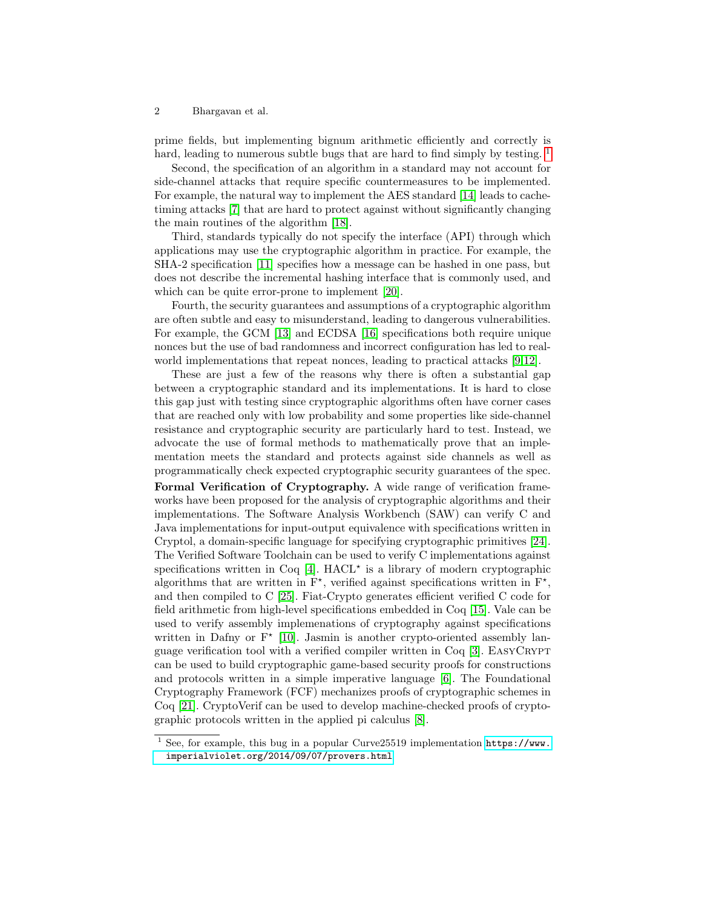prime fields, but implementing bignum arithmetic efficiently and correctly is hard, leading to numerous subtle bugs that are hard to find simply by testing.

Second, the specification of an algorithm in a standard may not account for side-channel attacks that require specific countermeasures to be implemented. For example, the natural way to implement the AES standard [14] leads to cachetiming attacks [7] that are hard to protect against without significantly changing the main routines of the algorithm [18].

Third, standards typically do not specify the interface (API) through which applications may use the cryptographic algorithm in practice. For example, the SHA-2 specification [11] specifies how a message can be hashed in one pass, but does not describe the incremental hashing interface that is commonly used, and which can be quite error-prone to implement [20].

Fourth, the security guarantees and assumptions of a cryptographic algorithm are often subtle and easy to misunderstand, leading to dangerous vulnerabilities. For example, the GCM [13] and ECDSA [16] specifications both require unique nonces but the use of bad randomness and incorrect configuration has led to realworld implementations that repeat nonces, leading to practical attacks [9,12].

These are just a few of the reasons why there is often a substantial gap between a cryptographic standard and its implementations. It is hard to close this gap just with testing since cryptographic algorithms often have corner cases that are reached only with low probability and some properties like side-channel resistance and cryptographic security are particularly hard to test. Instead, we advocate the use of formal methods to mathematically prove that an implementation meets the standard and protects against side channels as well as programmatically check expected cryptographic security guarantees of the spec.

Formal Verification of Cryptography. A wide range of verification frameworks have been proposed for the analysis of cryptographic algorithms and their implementations. The Software Analysis Workbench (SAW) can verify C and Java implementations for input-output equivalence with specifications written in Cryptol, a domain-specific language for specifying cryptographic primitives [24]. The Verified Software Toolchain can be used to verify C implementations against specifications written in Coq  $[4]$ . HACL<sup>\*</sup> is a library of modern cryptographic algorithms that are written in  $F^*$ , verified against specifications written in  $F^*$ , and then compiled to C [25]. Fiat-Crypto generates efficient verified C code for field arithmetic from high-level specifications embedded in Coq [15]. Vale can be used to verify assembly implemenations of cryptography against specifications written in Dafny or  $F^*$  [10]. Jasmin is another crypto-oriented assembly language verification tool with a verified compiler written in Coq [3]. EASYCRYPT can be used to build cryptographic game-based security proofs for constructions and protocols written in a simple imperative language [6]. The Foundational Cryptography Framework (FCF) mechanizes proofs of cryptographic schemes in Coq [21]. CryptoVerif can be used to develop machine-checked proofs of cryptographic protocols written in the applied pi calculus [8].

 $1$  See, for example, this bug in a popular Curve25519 implementation [https://www.](https://www.imperialviolet.org/2014/09/07/provers.html) [imperialviolet.org/2014/09/07/provers.html](https://www.imperialviolet.org/2014/09/07/provers.html)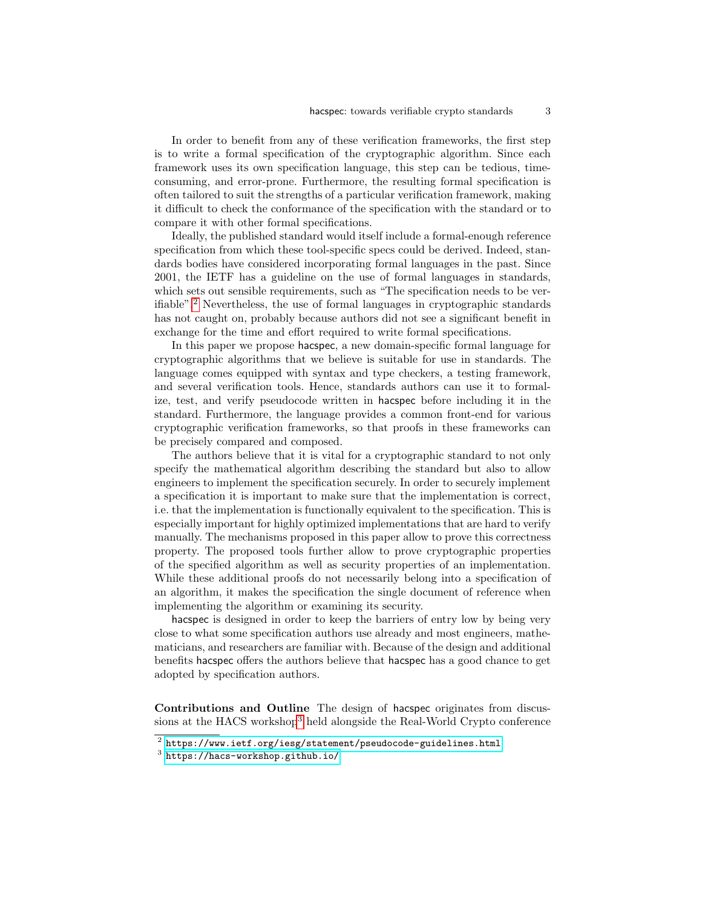In order to benefit from any of these verification frameworks, the first step is to write a formal specification of the cryptographic algorithm. Since each framework uses its own specification language, this step can be tedious, timeconsuming, and error-prone. Furthermore, the resulting formal specification is often tailored to suit the strengths of a particular verification framework, making it difficult to check the conformance of the specification with the standard or to compare it with other formal specifications.

Ideally, the published standard would itself include a formal-enough reference specification from which these tool-specific specs could be derived. Indeed, standards bodies have considered incorporating formal languages in the past. Since 2001, the IETF has a guideline on the use of formal languages in standards, which sets out sensible requirements, such as "The specification needs to be verifiable".2 Nevertheless, the use of formal languages in cryptographic standards has not caught on, probably because authors did not see a significant benefit in exchange for the time and effort required to write formal specifications.

In this paper we propose hacspec, a new domain-specific formal language for cryptographic algorithms that we believe is suitable for use in standards. The language comes equipped with syntax and type checkers, a testing framework, and several verification tools. Hence, standards authors can use it to formalize, test, and verify pseudocode written in hacspec before including it in the standard. Furthermore, the language provides a common front-end for various cryptographic verification frameworks, so that proofs in these frameworks can be precisely compared and composed.

The authors believe that it is vital for a cryptographic standard to not only specify the mathematical algorithm describing the standard but also to allow engineers to implement the specification securely. In order to securely implement a specification it is important to make sure that the implementation is correct, i.e. that the implementation is functionally equivalent to the specification. This is especially important for highly optimized implementations that are hard to verify manually. The mechanisms proposed in this paper allow to prove this correctness property. The proposed tools further allow to prove cryptographic properties of the specified algorithm as well as security properties of an implementation. While these additional proofs do not necessarily belong into a specification of an algorithm, it makes the specification the single document of reference when implementing the algorithm or examining its security.

hacspec is designed in order to keep the barriers of entry low by being very close to what some specification authors use already and most engineers, mathematicians, and researchers are familiar with. Because of the design and additional benefits hacspec offers the authors believe that hacspec has a good chance to get adopted by specification authors.

Contributions and Outline The design of hacspec originates from discussions at the HACS workshop<sup>3</sup> held alongside the Real-World Crypto conference

 $^2$  <https://www.ietf.org/iesg/statement/pseudocode-guidelines.html>

 $^3$  <https://hacs-workshop.github.io/>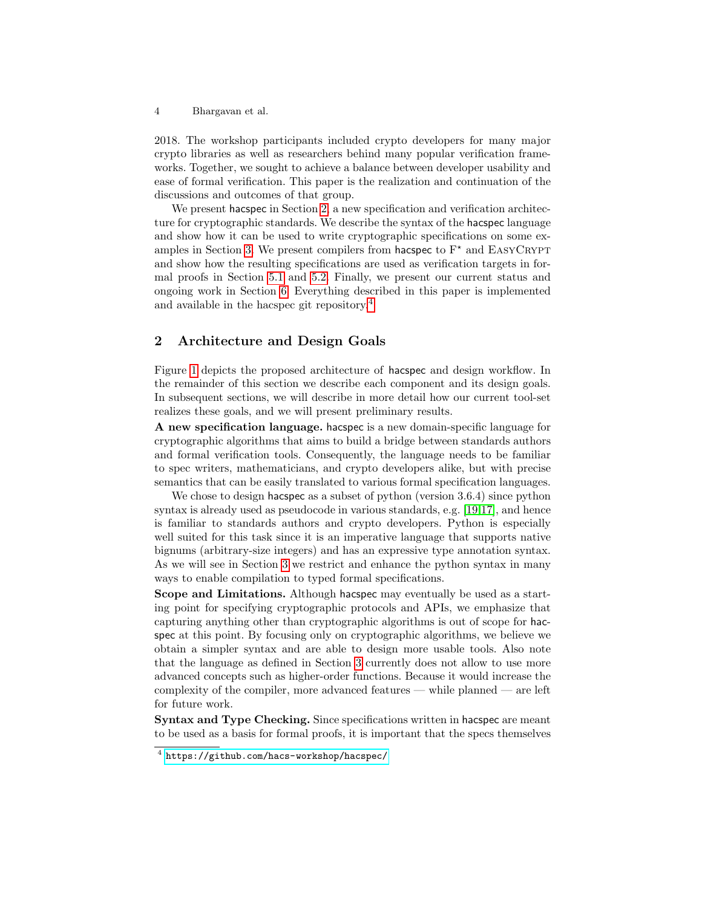2018. The workshop participants included crypto developers for many major crypto libraries as well as researchers behind many popular verification frameworks. Together, we sought to achieve a balance between developer usability and ease of formal verification. This paper is the realization and continuation of the discussions and outcomes of that group.

We present hacspec in Section 2, a new specification and verification architecture for cryptographic standards. We describe the syntax of the hacspec language and show how it can be used to write cryptographic specifications on some examples in Section 3. We present compilers from hacspec to  $F^*$  and EASYCRYPT and show how the resulting specifications are used as verification targets in formal proofs in Section 5.1 and 5.2. Finally, we present our current status and ongoing work in Section 6. Everything described in this paper is implemented and available in the hacspec git repository.4

## 2 Architecture and Design Goals

Figure 1 depicts the proposed architecture of hacspec and design workflow. In the remainder of this section we describe each component and its design goals. In subsequent sections, we will describe in more detail how our current tool-set realizes these goals, and we will present preliminary results.

A new specification language. hacspec is a new domain-specific language for cryptographic algorithms that aims to build a bridge between standards authors and formal verification tools. Consequently, the language needs to be familiar to spec writers, mathematicians, and crypto developers alike, but with precise semantics that can be easily translated to various formal specification languages.

We chose to design hacspec as a subset of python (version 3.6.4) since python syntax is already used as pseudocode in various standards, e.g. [19,17], and hence is familiar to standards authors and crypto developers. Python is especially well suited for this task since it is an imperative language that supports native bignums (arbitrary-size integers) and has an expressive type annotation syntax. As we will see in Section 3 we restrict and enhance the python syntax in many ways to enable compilation to typed formal specifications.

Scope and Limitations. Although hacspec may eventually be used as a starting point for specifying cryptographic protocols and APIs, we emphasize that capturing anything other than cryptographic algorithms is out of scope for hacspec at this point. By focusing only on cryptographic algorithms, we believe we obtain a simpler syntax and are able to design more usable tools. Also note that the language as defined in Section 3 currently does not allow to use more advanced concepts such as higher-order functions. Because it would increase the complexity of the compiler, more advanced features — while planned — are left for future work.

Syntax and Type Checking. Since specifications written in hacspec are meant to be used as a basis for formal proofs, it is important that the specs themselves

<sup>4</sup> <https://github.com/hacs-workshop/hacspec/>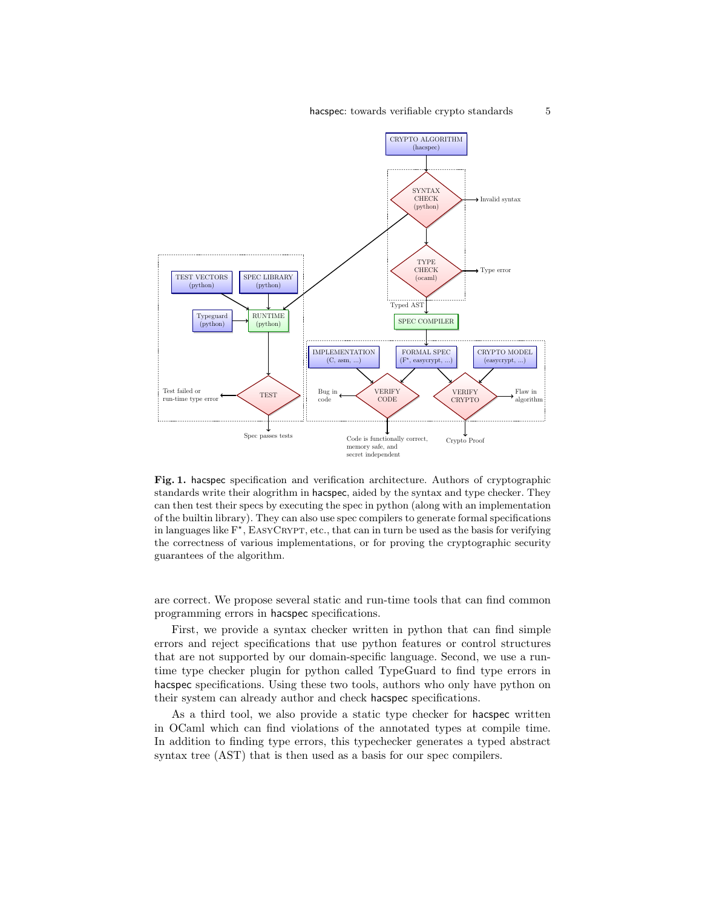

Fig. 1. hacspec specification and verification architecture. Authors of cryptographic standards write their alogrithm in hacspec, aided by the syntax and type checker. They can then test their specs by executing the spec in python (along with an implementation of the builtin library). They can also use spec compilers to generate formal specifications in languages like  $F^*$ , EASYCRYPT, etc., that can in turn be used as the basis for verifying the correctness of various implementations, or for proving the cryptographic security guarantees of the algorithm.

are correct. We propose several static and run-time tools that can find common programming errors in hacspec specifications.

First, we provide a syntax checker written in python that can find simple errors and reject specifications that use python features or control structures that are not supported by our domain-specific language. Second, we use a runtime type checker plugin for python called TypeGuard to find type errors in hacspec specifications. Using these two tools, authors who only have python on their system can already author and check hacspec specifications.

As a third tool, we also provide a static type checker for hacspec written in OCaml which can find violations of the annotated types at compile time. In addition to finding type errors, this typechecker generates a typed abstract syntax tree (AST) that is then used as a basis for our spec compilers.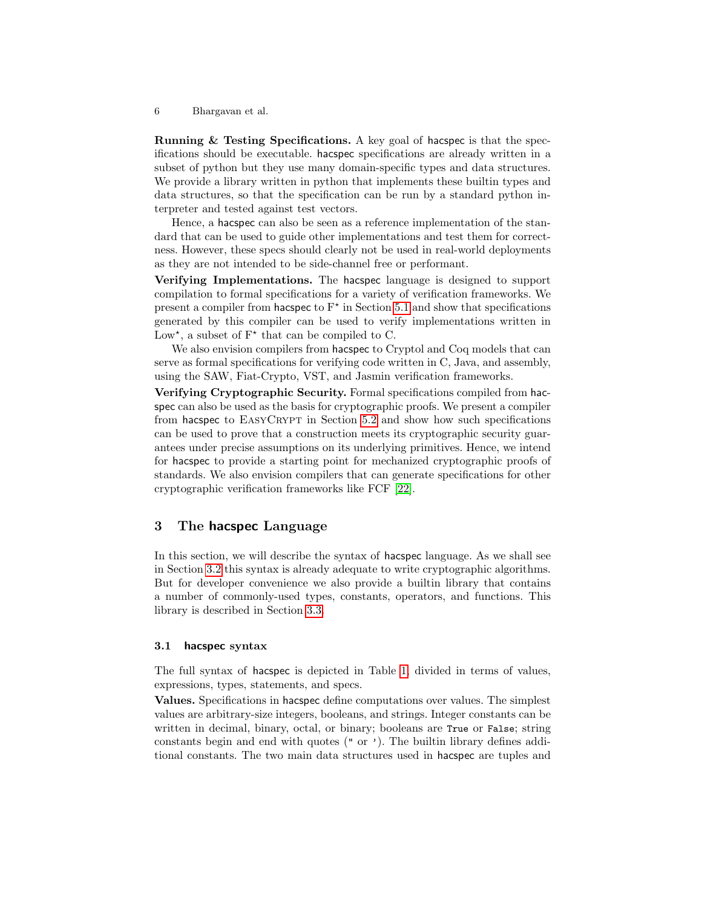Running & Testing Specifications. A key goal of hacspec is that the specifications should be executable. hacspec specifications are already written in a subset of python but they use many domain-specific types and data structures. We provide a library written in python that implements these builtin types and data structures, so that the specification can be run by a standard python interpreter and tested against test vectors.

Hence, a hacspec can also be seen as a reference implementation of the standard that can be used to guide other implementations and test them for correctness. However, these specs should clearly not be used in real-world deployments as they are not intended to be side-channel free or performant.

Verifying Implementations. The hacspec language is designed to support compilation to formal specifications for a variety of verification frameworks. We present a compiler from hacspec to  $F^*$  in Section 5.1 and show that specifications generated by this compiler can be used to verify implementations written in Low<sup>\*</sup>, a subset of  $F^*$  that can be compiled to C.

We also envision compilers from hacspec to Cryptol and Coq models that can serve as formal specifications for verifying code written in C, Java, and assembly, using the SAW, Fiat-Crypto, VST, and Jasmin verification frameworks.

Verifying Cryptographic Security. Formal specifications compiled from hacspec can also be used as the basis for cryptographic proofs. We present a compiler from hacspec to EasyCrypt in Section 5.2 and show how such specifications can be used to prove that a construction meets its cryptographic security guarantees under precise assumptions on its underlying primitives. Hence, we intend for hacspec to provide a starting point for mechanized cryptographic proofs of standards. We also envision compilers that can generate specifications for other cryptographic verification frameworks like FCF [22].

## 3 The hacspec Language

In this section, we will describe the syntax of hacspec language. As we shall see in Section 3.2 this syntax is already adequate to write cryptographic algorithms. But for developer convenience we also provide a builtin library that contains a number of commonly-used types, constants, operators, and functions. This library is described in Section 3.3.

#### 3.1 hacspec syntax

The full syntax of hacspec is depicted in Table 1, divided in terms of values, expressions, types, statements, and specs.

Values. Specifications in hacspec define computations over values. The simplest values are arbitrary-size integers, booleans, and strings. Integer constants can be written in decimal, binary, octal, or binary; booleans are True or False; string constants begin and end with quotes (" or '). The builtin library defines additional constants. The two main data structures used in hacspec are tuples and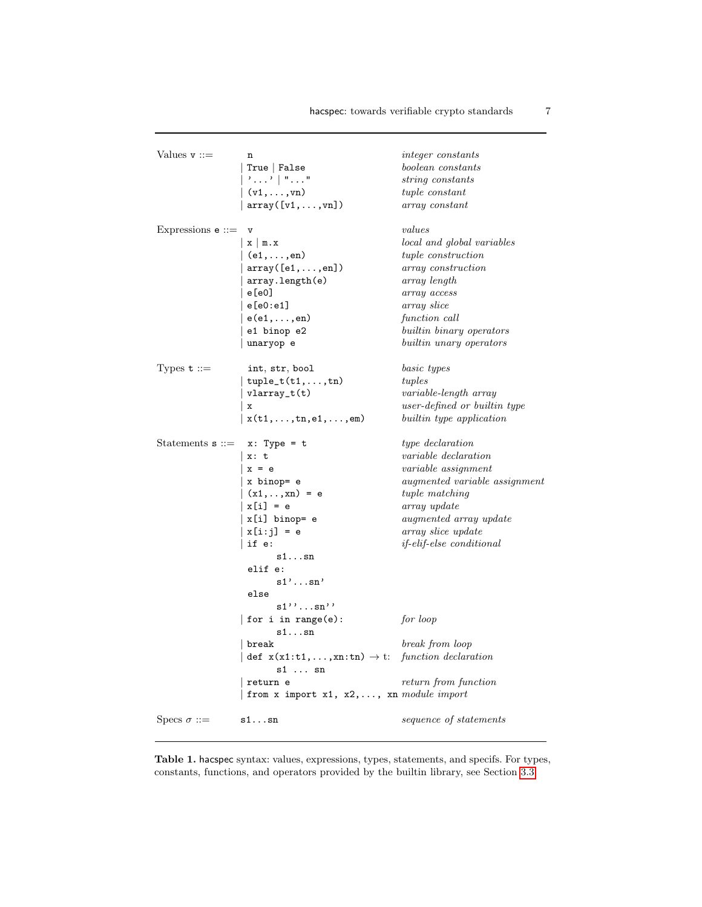| Values $v ::=$        | n<br>  True   False<br>$\vert$ $\vert$ $\vert$ $\ldots$ $\vert$ $\vert$ $\vert$ $\ldots$ $\vert$<br>$\vert$ (v1,,vn)<br>$\vert \text{ array}([v1, \ldots, v n])$                                                                                                                               | <i>integer constants</i><br>boolean constants<br>string constants<br>tuple constant<br>array constant                                                                                                                                                                                          |
|-----------------------|------------------------------------------------------------------------------------------------------------------------------------------------------------------------------------------------------------------------------------------------------------------------------------------------|------------------------------------------------------------------------------------------------------------------------------------------------------------------------------------------------------------------------------------------------------------------------------------------------|
| Expressions $e ::= v$ | $x \mid m.x$<br>$ $ (e1, , en)<br>$  array([e1, \ldots, en])$<br>array.length(e)<br>  e [e0]<br>  e[e0:e1]<br>$ e(e1, \ldots, en) $<br>e1 binop e2<br>unaryop e                                                                                                                                | values<br>local and global variables<br>tuple construction<br>array construction<br>array length<br>array access<br>array slice<br>function call<br>builtin binary operators<br>builtin unary operators                                                                                        |
| Types $t ::=$         | int, str, bool<br>$ tuple_t(t1,,tn)$<br>$  \text{vlarray}_t(t)$<br>$\mathbf x$<br>$x(t1,\ldots,tn,e1,\ldots,em)$                                                                                                                                                                               | basic types<br>tuples<br><i>variable-length array</i><br>user-defined or builtin type<br>builtin type application                                                                                                                                                                              |
| Statements $s ::=$    | $x: Type = t$<br>x: t<br>$x = e$<br>x binop= e<br>$(x1, , xn) = e$<br>$x[i] = e$<br>x[i] binop= e<br>  x[i:j] = e<br>  if e:<br>s1sn<br>elif e:<br>$s1' \ldots sn'$<br>else<br>$s1$ " $sn$ "<br>$\vert$ for i in range(e):<br>s1sn<br>  break<br>$\vert$ def $x(x1:t1,,xn:tn) \rightarrow t$ : | type declaration<br><i>variable declaration</i><br><i>variable assignment</i><br><i>augmented variable assignment</i><br>tuple matching<br>$array \ update$<br>augmented array update<br>array slice update<br>if-elif-else conditional<br>for loop<br>break from loop<br>function declaration |
|                       | $s1$ $sn$<br>return e<br>from x import x1, x2,, xn module import                                                                                                                                                                                                                               | return from function                                                                                                                                                                                                                                                                           |
| Specs $\sigma ::=$    | s1sn                                                                                                                                                                                                                                                                                           | sequence of statements                                                                                                                                                                                                                                                                         |

Table 1. hacspec syntax: values, expressions, types, statements, and specifs. For types, constants, functions, and operators provided by the builtin library, see Section 3.3.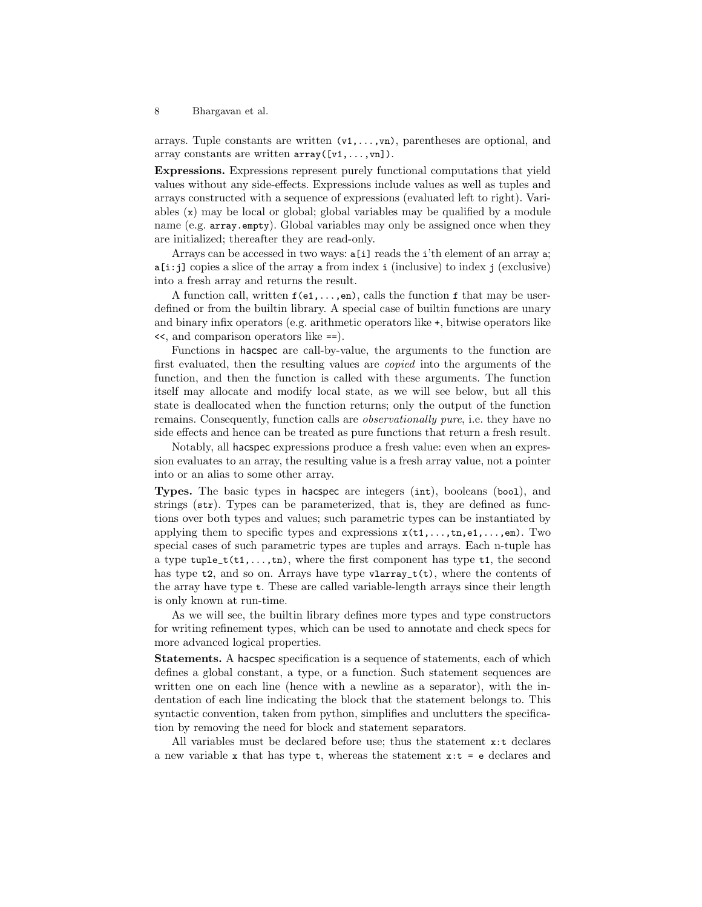arrays. Tuple constants are written  $(v_1, \ldots, v_n)$ , parentheses are optional, and array constants are written  $array([v1,...,vn]).$ 

Expressions. Expressions represent purely functional computations that yield values without any side-effects. Expressions include values as well as tuples and arrays constructed with a sequence of expressions (evaluated left to right). Variables  $(x)$  may be local or global; global variables may be qualified by a module name (e.g. array.empty). Global variables may only be assigned once when they are initialized; thereafter they are read-only.

Arrays can be accessed in two ways: a[i] reads the i'th element of an array a;  $a[i:j]$  copies a slice of the array a from index i (inclusive) to index j (exclusive) into a fresh array and returns the result.

A function call, written  $f(e_1,...,en)$ , calls the function  $f$  that may be userdefined or from the builtin library. A special case of builtin functions are unary and binary infix operators (e.g. arithmetic operators like +, bitwise operators like <<, and comparison operators like ==).

Functions in hacspec are call-by-value, the arguments to the function are first evaluated, then the resulting values are copied into the arguments of the function, and then the function is called with these arguments. The function itself may allocate and modify local state, as we will see below, but all this state is deallocated when the function returns; only the output of the function remains. Consequently, function calls are observationally pure, i.e. they have no side effects and hence can be treated as pure functions that return a fresh result.

Notably, all hacspec expressions produce a fresh value: even when an expression evaluates to an array, the resulting value is a fresh array value, not a pointer into or an alias to some other array.

Types. The basic types in hacspec are integers (int), booleans (bool), and strings (str). Types can be parameterized, that is, they are defined as functions over both types and values; such parametric types can be instantiated by applying them to specific types and expressions  $x(t_1,...,t_n,e_1,...,e_m)$ . Two special cases of such parametric types are tuples and arrays. Each n-tuple has a type  $\text{tuple}\text{-}\text{t}(t1,\ldots,\text{tn})$ , where the first component has type  $t1$ , the second has type  $t2$ , and so on. Arrays have type vlarray<sub>-t</sub> $(t)$ , where the contents of the array have type t. These are called variable-length arrays since their length is only known at run-time.

As we will see, the builtin library defines more types and type constructors for writing refinement types, which can be used to annotate and check specs for more advanced logical properties.

Statements. A hacspec specification is a sequence of statements, each of which defines a global constant, a type, or a function. Such statement sequences are written one on each line (hence with a newline as a separator), with the indentation of each line indicating the block that the statement belongs to. This syntactic convention, taken from python, simplifies and unclutters the specification by removing the need for block and statement separators.

All variables must be declared before use; thus the statement x:t declares a new variable x that has type  $t$ , whereas the statement  $x:t = e$  declares and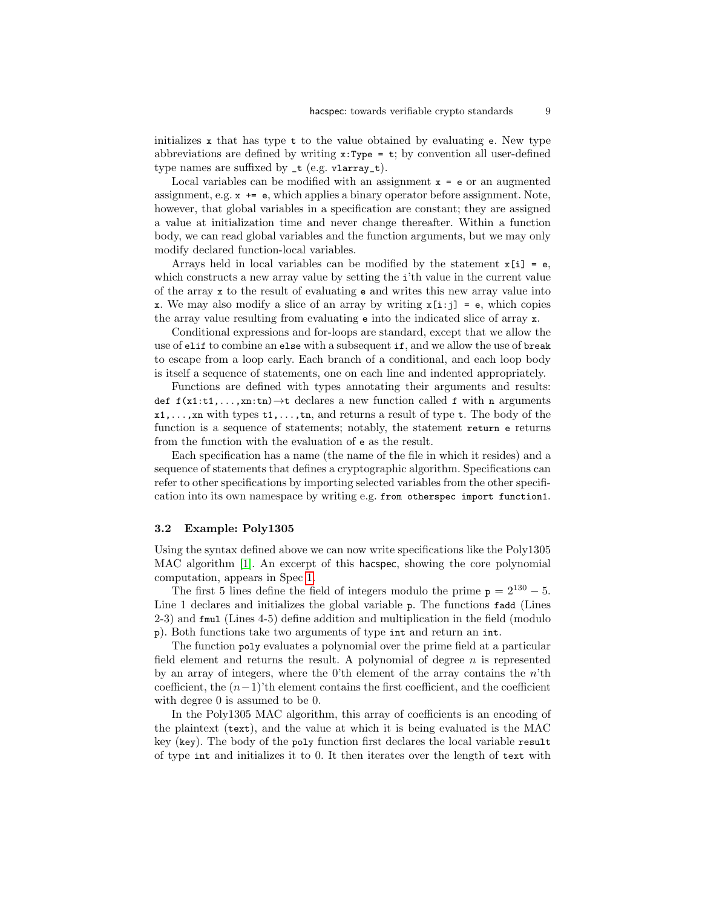initializes x that has type  $t$  to the value obtained by evaluating  $e$ . New type abbreviations are defined by writing  $x:Type = t$ ; by convention all user-defined type names are suffixed by  $_t$  (e.g. vlarray<sub>t</sub>).

Local variables can be modified with an assignment  $x = e$  or an augmented assignment, e.g. x += e, which applies a binary operator before assignment. Note, however, that global variables in a specification are constant; they are assigned a value at initialization time and never change thereafter. Within a function body, we can read global variables and the function arguments, but we may only modify declared function-local variables.

Arrays held in local variables can be modified by the statement  $x[i] = e$ , which constructs a new array value by setting the i'th value in the current value of the array  $x$  to the result of evaluating  $e$  and writes this new array value into x. We may also modify a slice of an array by writing  $x[i:j] = e$ , which copies the array value resulting from evaluating e into the indicated slice of array x.

Conditional expressions and for-loops are standard, except that we allow the use of elif to combine an else with a subsequent if, and we allow the use of break to escape from a loop early. Each branch of a conditional, and each loop body is itself a sequence of statements, one on each line and indented appropriately.

Functions are defined with types annotating their arguments and results: def  $f(x1:t1,...,xn:tn)$  declares a new function called f with n arguments  $x_1, \ldots, x_n$  with types  $t_1, \ldots, t_n$ , and returns a result of type  $t$ . The body of the function is a sequence of statements; notably, the statement return e returns from the function with the evaluation of e as the result.

Each specification has a name (the name of the file in which it resides) and a sequence of statements that defines a cryptographic algorithm. Specifications can refer to other specifications by importing selected variables from the other specification into its own namespace by writing e.g. from otherspec import function1.

#### 3.2 Example: Poly1305

Using the syntax defined above we can now write specifications like the Poly1305 MAC algorithm [1]. An excerpt of this hacspec, showing the core polynomial computation, appears in Spec 1.

The first 5 lines define the field of integers modulo the prime  $p = 2^{130} - 5$ . Line 1 declares and initializes the global variable p. The functions fadd (Lines 2-3) and fmul (Lines 4-5) define addition and multiplication in the field (modulo p). Both functions take two arguments of type int and return an int.

The function poly evaluates a polynomial over the prime field at a particular field element and returns the result. A polynomial of degree  $n$  is represented by an array of integers, where the 0'th element of the array contains the  $n$ 'th coefficient, the  $(n-1)$ 'th element contains the first coefficient, and the coefficient with degree 0 is assumed to be 0.

In the Poly1305 MAC algorithm, this array of coefficients is an encoding of the plaintext (text), and the value at which it is being evaluated is the MAC key (key). The body of the poly function first declares the local variable result of type int and initializes it to 0. It then iterates over the length of text with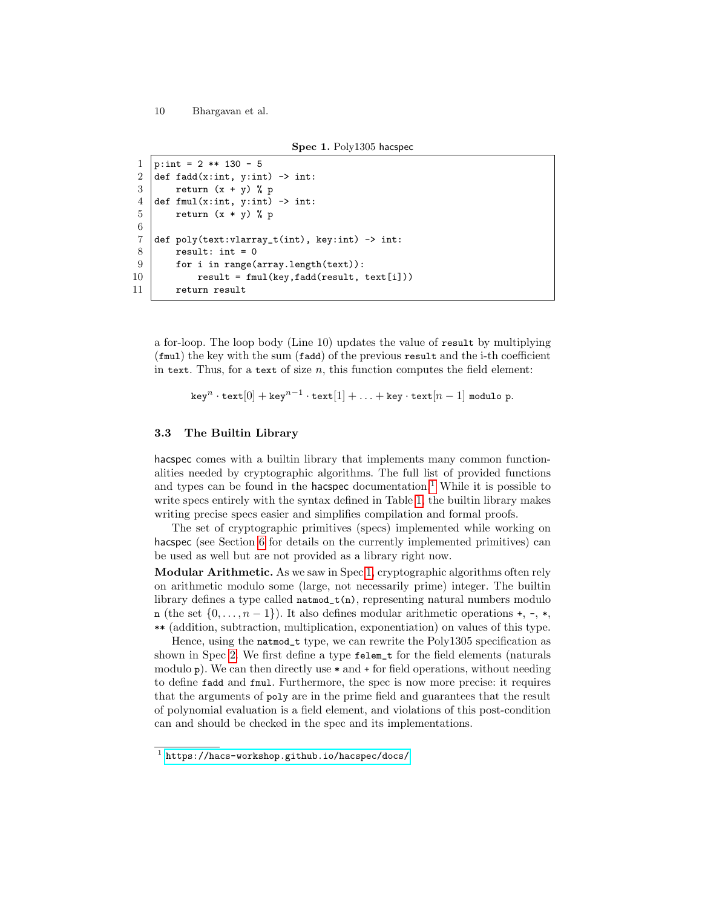Spec 1. Poly1305 hacspec

```
1 | p: int = 2 ** 130 - 5
2 def fadd(x:int, y:int) \rightarrow int:
3 return (x + y) % p
4 def fmul(x:int, y:int) \rightarrow int:
5 return (x * y) % p
6
7 def poly(text:vlarray_t(int), key:int) -> int:
8 \mid result: int = 0
9 for i in range(array.length(text)):
10 | result = fmul(key, fadd(result, text[i]))
11 return result
```
a for-loop. The loop body (Line 10) updates the value of result by multiplying (fmul) the key with the sum (fadd) of the previous result and the i-th coefficient in text. Thus, for a text of size  $n$ , this function computes the field element:

 $\mathtt{key}^n \cdot \mathtt{text}[0] + \mathtt{key}^{n-1} \cdot \mathtt{text}[1] + \ldots + \mathtt{key} \cdot \mathtt{text}[n-1]$  modulo p.

## 3.3 The Builtin Library

hacspec comes with a builtin library that implements many common functionalities needed by cryptographic algorithms. The full list of provided functions and types can be found in the hacspec documentation.<sup>1</sup> While it is possible to write specs entirely with the syntax defined in Table 1, the builtin library makes writing precise specs easier and simplifies compilation and formal proofs.

The set of cryptographic primitives (specs) implemented while working on hacspec (see Section 6 for details on the currently implemented primitives) can be used as well but are not provided as a library right now.

Modular Arithmetic. As we saw in Spec 1, cryptographic algorithms often rely on arithmetic modulo some (large, not necessarily prime) integer. The builtin library defines a type called  $\text{natural numbers}$  modulo n (the set  $\{0, \ldots, n-1\}$ ). It also defines modular arithmetic operations +, -, \*, \*\* (addition, subtraction, multiplication, exponentiation) on values of this type.

Hence, using the natmod\_t type, we can rewrite the Poly1305 specification as shown in Spec 2. We first define a type felem\_t for the field elements (naturals modulo p). We can then directly use  $*$  and  $*$  for field operations, without needing to define fadd and fmul. Furthermore, the spec is now more precise: it requires that the arguments of poly are in the prime field and guarantees that the result of polynomial evaluation is a field element, and violations of this post-condition can and should be checked in the spec and its implementations.

<sup>1</sup> <https://hacs-workshop.github.io/hacspec/docs/>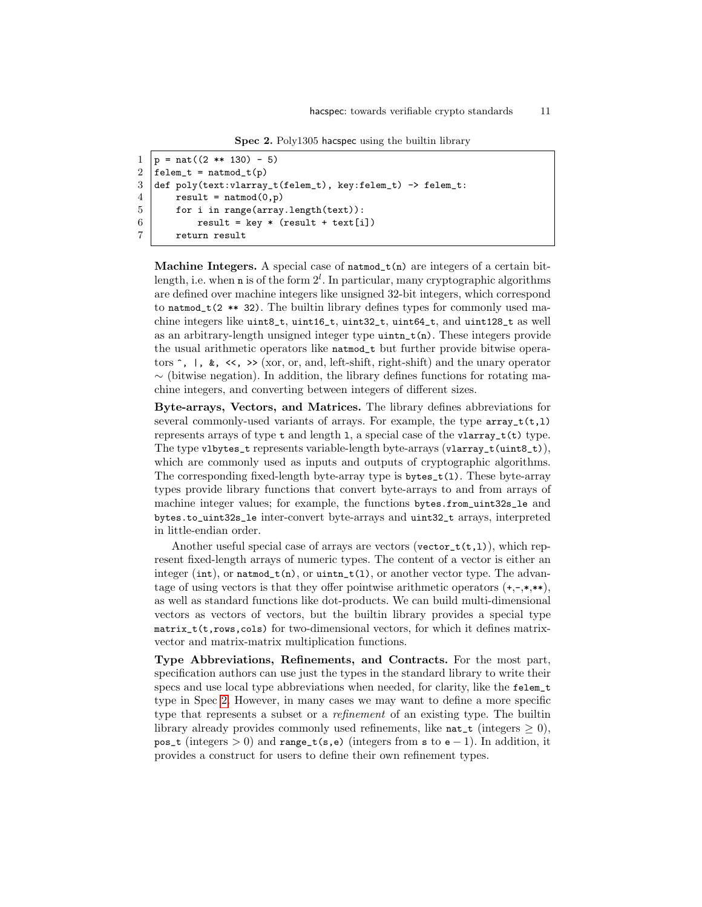```
\begin{array}{c|c} 1 & p = \text{nat}((2 * * 130) - 5) \\ 2 & \text{felem}_t = \text{natmod}_t(p) \end{array}felen_t = natmod_t(p)3 \text{ def poly(text:vlarray_t(felem_t), key:felem_t) \rightarrow felem_t:}4 \mid result = natmod(0,p)5 for i in range(array.length(text)):
6 result = key * (result + text[i])
7 return result
```
**Machine Integers.** A special case of  $\text{natural}_t(n)$  are integers of a certain bitlength, i.e. when n is of the form  $2^l$ . In particular, many cryptographic algorithms are defined over machine integers like unsigned 32-bit integers, which correspond to natmod\_t(2 \*\* 32). The builtin library defines types for commonly used machine integers like uint8\_t, uint16\_t, uint32\_t, uint64\_t, and uint128\_t as well as an arbitrary-length unsigned integer type  $\text{uintn}_\text{t}(n)$ . These integers provide the usual arithmetic operators like natmod\_t but further provide bitwise operators  $\hat{\ }$ ,  $|$ ,  $\hat{\ }$ ,  $\langle \cdot \rangle$   $\rangle$  (xor, or, and, left-shift, right-shift) and the unary operator ∼ (bitwise negation). In addition, the library defines functions for rotating machine integers, and converting between integers of different sizes.

Byte-arrays, Vectors, and Matrices. The library defines abbreviations for several commonly-used variants of arrays. For example, the type  $array_t(t,1)$ represents arrays of type  $t$  and length 1, a special case of the vlarray\_ $t(t)$  type. The type vlbytes\_t represents variable-length byte-arrays (vlarray\_t(uint8\_t)), which are commonly used as inputs and outputs of cryptographic algorithms. The corresponding fixed-length byte-array type is bytes\_t(l). These byte-array types provide library functions that convert byte-arrays to and from arrays of machine integer values; for example, the functions bytes.from\_uint32s\_le and bytes.to\_uint32s\_le inter-convert byte-arrays and uint32\_t arrays, interpreted in little-endian order.

Another useful special case of arrays are vectors (vector\_ $t(t,1)$ ), which represent fixed-length arrays of numeric types. The content of a vector is either an integer (int), or natmod\_t(n), or uintn\_t(1), or another vector type. The advantage of using vectors is that they offer pointwise arithmetic operators  $(+,-,*,**),$ as well as standard functions like dot-products. We can build multi-dimensional vectors as vectors of vectors, but the builtin library provides a special type matrix\_t(t,rows,cols) for two-dimensional vectors, for which it defines matrixvector and matrix-matrix multiplication functions.

Type Abbreviations, Refinements, and Contracts. For the most part, specification authors can use just the types in the standard library to write their specs and use local type abbreviations when needed, for clarity, like the felem\_t type in Spec 2. However, in many cases we may want to define a more specific type that represents a subset or a refinement of an existing type. The builtin library already provides commonly used refinements, like  $\texttt{nat\_t}$  (integers  $\geq 0$ ), pos\_t (integers > 0) and range\_t(s,e) (integers from s to e - 1). In addition, it provides a construct for users to define their own refinement types.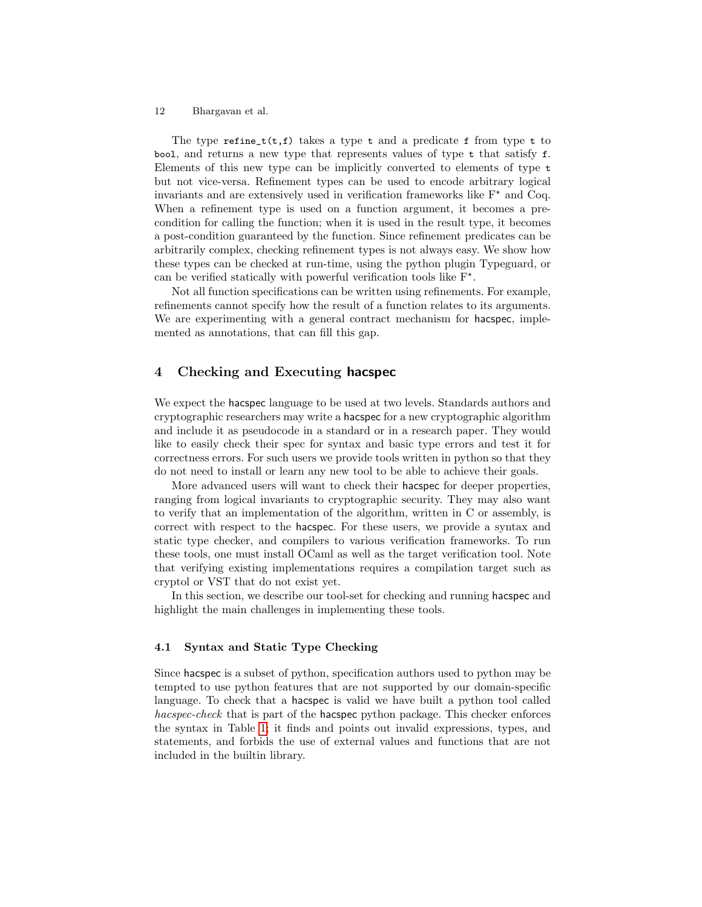The type refine<sub>t</sub> $(t,f)$  takes a type t and a predicate f from type t to bool, and returns a new type that represents values of type t that satisfy f. Elements of this new type can be implicitly converted to elements of type t but not vice-versa. Refinement types can be used to encode arbitrary logical invariants and are extensively used in verification frameworks like  $F^*$  and Coq. When a refinement type is used on a function argument, it becomes a precondition for calling the function; when it is used in the result type, it becomes a post-condition guaranteed by the function. Since refinement predicates can be arbitrarily complex, checking refinement types is not always easy. We show how these types can be checked at run-time, using the python plugin Typeguard, or can be verified statically with powerful verification tools like  $F^*$ .

Not all function specifications can be written using refinements. For example, refinements cannot specify how the result of a function relates to its arguments. We are experimenting with a general contract mechanism for hacspec, implemented as annotations, that can fill this gap.

## 4 Checking and Executing hacspec

We expect the hacspec language to be used at two levels. Standards authors and cryptographic researchers may write a hacspec for a new cryptographic algorithm and include it as pseudocode in a standard or in a research paper. They would like to easily check their spec for syntax and basic type errors and test it for correctness errors. For such users we provide tools written in python so that they do not need to install or learn any new tool to be able to achieve their goals.

More advanced users will want to check their hacspec for deeper properties, ranging from logical invariants to cryptographic security. They may also want to verify that an implementation of the algorithm, written in C or assembly, is correct with respect to the hacspec. For these users, we provide a syntax and static type checker, and compilers to various verification frameworks. To run these tools, one must install OCaml as well as the target verification tool. Note that verifying existing implementations requires a compilation target such as cryptol or VST that do not exist yet.

In this section, we describe our tool-set for checking and running hacspec and highlight the main challenges in implementing these tools.

## 4.1 Syntax and Static Type Checking

Since hacspec is a subset of python, specification authors used to python may be tempted to use python features that are not supported by our domain-specific language. To check that a hacspec is valid we have built a python tool called hacspec-check that is part of the hacspec python package. This checker enforces the syntax in Table 1; it finds and points out invalid expressions, types, and statements, and forbids the use of external values and functions that are not included in the builtin library.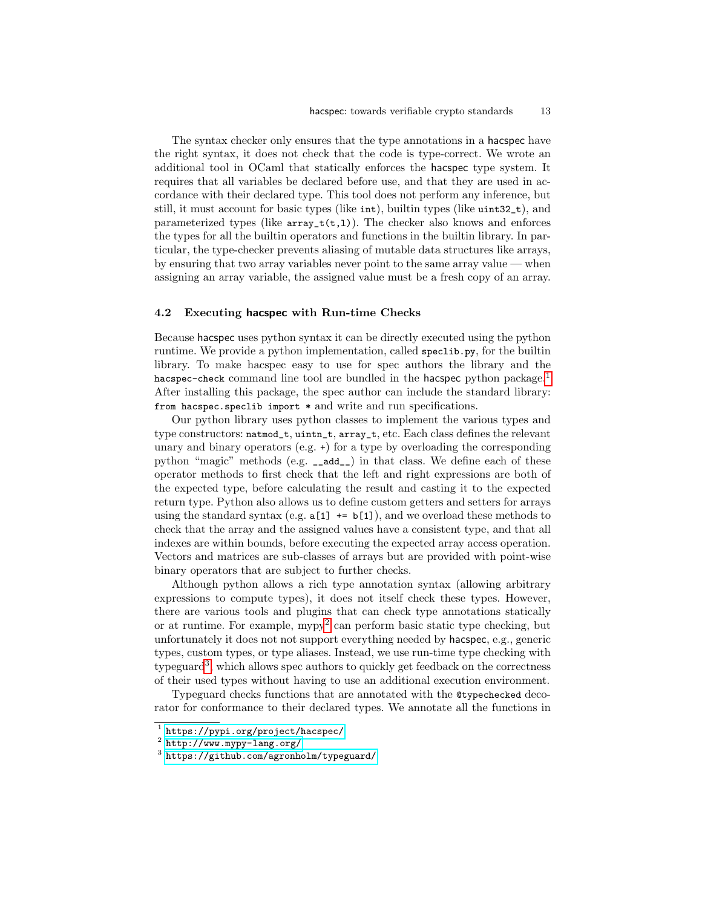The syntax checker only ensures that the type annotations in a hacspec have the right syntax, it does not check that the code is type-correct. We wrote an additional tool in OCaml that statically enforces the hacspec type system. It requires that all variables be declared before use, and that they are used in accordance with their declared type. This tool does not perform any inference, but still, it must account for basic types (like int), builtin types (like uint32\_t), and parameterized types (like  $array_t(t,1)$ ). The checker also knows and enforces the types for all the builtin operators and functions in the builtin library. In particular, the type-checker prevents aliasing of mutable data structures like arrays, by ensuring that two array variables never point to the same array value — when assigning an array variable, the assigned value must be a fresh copy of an array.

### 4.2 Executing hacspec with Run-time Checks

Because hacspec uses python syntax it can be directly executed using the python runtime. We provide a python implementation, called speclib.py, for the builtin library. To make hacspec easy to use for spec authors the library and the hacspec-check command line tool are bundled in the hacspec python package.<sup>1</sup> After installing this package, the spec author can include the standard library: from hacspec.speclib import  $*$  and write and run specifications.

Our python library uses python classes to implement the various types and type constructors: natmod\_t, uintn\_t, array\_t, etc. Each class defines the relevant unary and binary operators (e.g. +) for a type by overloading the corresponding python "magic" methods (e.g. \_\_add\_\_) in that class. We define each of these operator methods to first check that the left and right expressions are both of the expected type, before calculating the result and casting it to the expected return type. Python also allows us to define custom getters and setters for arrays using the standard syntax (e.g.  $a[1]$  +=  $b[1]$ ), and we overload these methods to check that the array and the assigned values have a consistent type, and that all indexes are within bounds, before executing the expected array access operation. Vectors and matrices are sub-classes of arrays but are provided with point-wise binary operators that are subject to further checks.

Although python allows a rich type annotation syntax (allowing arbitrary expressions to compute types), it does not itself check these types. However, there are various tools and plugins that can check type annotations statically or at runtime. For example, mypy<sup>2</sup> can perform basic static type checking, but unfortunately it does not not support everything needed by hacspec, e.g., generic types, custom types, or type aliases. Instead, we use run-time type checking with typeguard<sup>3</sup>, which allows spec authors to quickly get feedback on the correctness of their used types without having to use an additional execution environment.

Typeguard checks functions that are annotated with the @typechecked decorator for conformance to their declared types. We annotate all the functions in

<sup>1</sup> <https://pypi.org/project/hacspec/>

 $^2$  <http://www.mypy-lang.org/>

 $3$  <https://github.com/agronholm/typeguard/>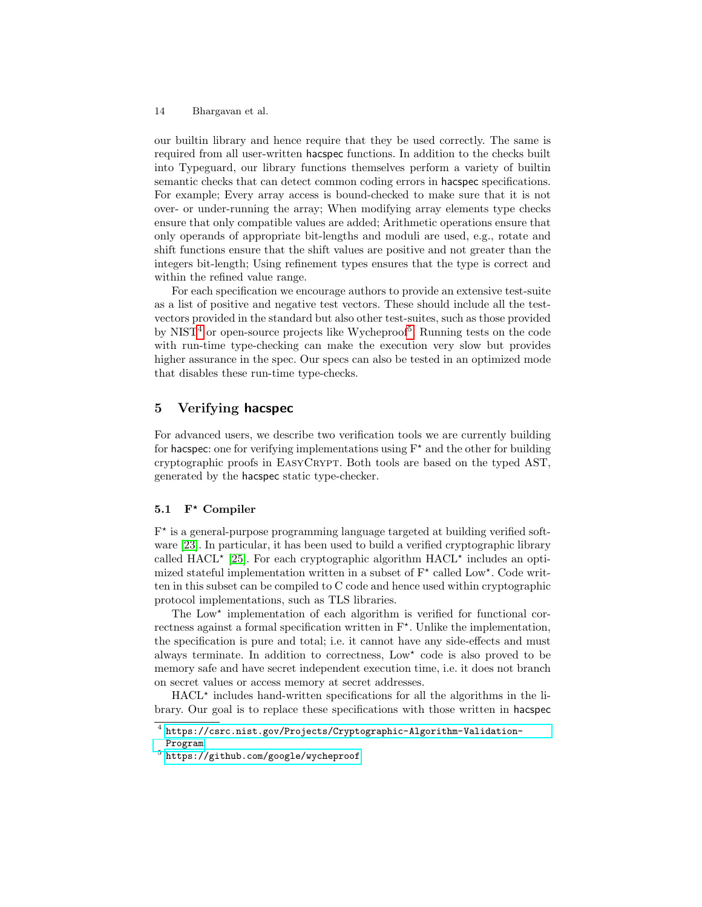our builtin library and hence require that they be used correctly. The same is required from all user-written hacspec functions. In addition to the checks built into Typeguard, our library functions themselves perform a variety of builtin semantic checks that can detect common coding errors in hacspec specifications. For example; Every array access is bound-checked to make sure that it is not over- or under-running the array; When modifying array elements type checks ensure that only compatible values are added; Arithmetic operations ensure that only operands of appropriate bit-lengths and moduli are used, e.g., rotate and shift functions ensure that the shift values are positive and not greater than the integers bit-length; Using refinement types ensures that the type is correct and within the refined value range.

For each specification we encourage authors to provide an extensive test-suite as a list of positive and negative test vectors. These should include all the testvectors provided in the standard but also other test-suites, such as those provided by NIST<sup>4</sup> or open-source projects like Wycheproof<sup>5</sup>. Running tests on the code with run-time type-checking can make the execution very slow but provides higher assurance in the spec. Our specs can also be tested in an optimized mode that disables these run-time type-checks.

## 5 Verifying hacspec

For advanced users, we describe two verification tools we are currently building for hacspec: one for verifying implementations using  $F^*$  and the other for building cryptographic proofs in EasyCrypt. Both tools are based on the typed AST, generated by the hacspec static type-checker.

## 5.1  $F^*$  Compiler

F<sup>\*</sup> is a general-purpose programming language targeted at building verified software [23]. In particular, it has been used to build a verified cryptographic library called  $HACL^*$  [25]. For each cryptographic algorithm  $HACL^*$  includes an optimized stateful implementation written in a subset of  $F^*$  called Low<sup>\*</sup>. Code written in this subset can be compiled to C code and hence used within cryptographic protocol implementations, such as TLS libraries.

The Low<sup>\*</sup> implementation of each algorithm is verified for functional correctness against a formal specification written in  $F^*$ . Unlike the implementation, the specification is pure and total; i.e. it cannot have any side-effects and must always terminate. In addition to correctness, Low? code is also proved to be memory safe and have secret independent execution time, i.e. it does not branch on secret values or access memory at secret addresses.

HACL<sup>\*</sup> includes hand-written specifications for all the algorithms in the library. Our goal is to replace these specifications with those written in hacspec

<sup>4</sup> [https://csrc.nist.gov/Projects/Cryptographic-Algorithm-Validation-](https://csrc.nist.gov/Projects/Cryptographic-Algorithm-Validation-Program)[Program](https://csrc.nist.gov/Projects/Cryptographic-Algorithm-Validation-Program)

<sup>5</sup> <https://github.com/google/wycheproof>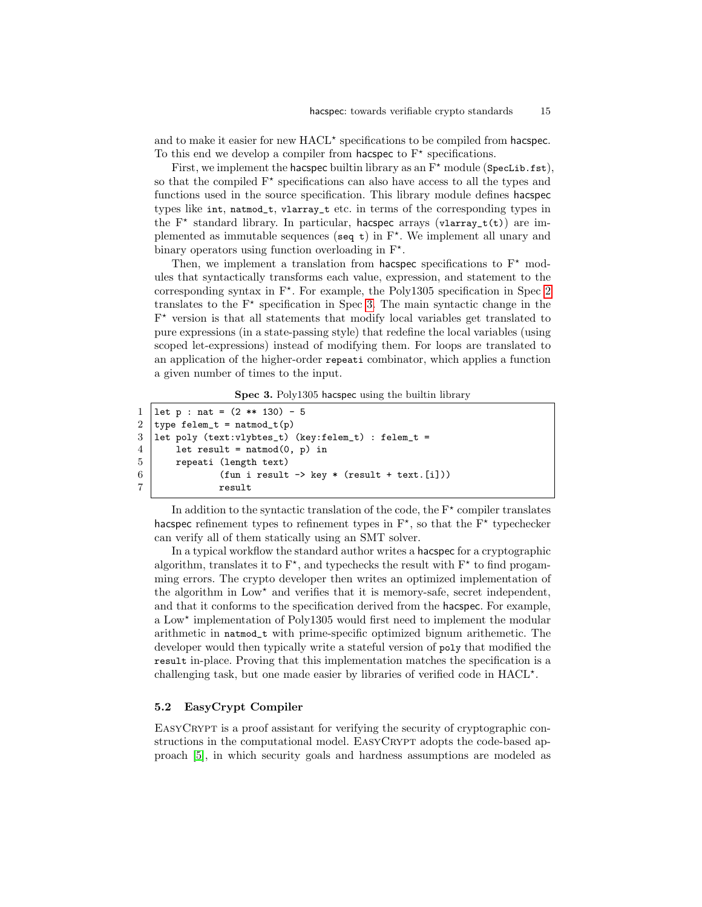and to make it easier for new HACL<sup>\*</sup> specifications to be compiled from hacspec. To this end we develop a compiler from hacspec to  $F^*$  specifications.

First, we implement the hacspec builtin library as an  $F^*$  module (SpecLib.fst). so that the compiled  $F^*$  specifications can also have access to all the types and functions used in the source specification. This library module defines hacspec types like int, natmod\_t, vlarray\_t etc. in terms of the corresponding types in the  $F^*$  standard library. In particular, hacspec arrays (vlarray\_t(t)) are implemented as immutable sequences (seq  $t$ ) in  $F<sup>*</sup>$ . We implement all unary and binary operators using function overloading in  $F^*$ .

Then, we implement a translation from hacspec specifications to  $F^*$  modules that syntactically transforms each value, expression, and statement to the corresponding syntax in  $F^*$ . For example, the Poly1305 specification in Spec 2 translates to the  $F^*$  specification in Spec 3. The main syntactic change in the F ? version is that all statements that modify local variables get translated to pure expressions (in a state-passing style) that redefine the local variables (using scoped let-expressions) instead of modifying them. For loops are translated to an application of the higher-order repeati combinator, which applies a function a given number of times to the input.

Spec 3. Poly1305 hacspec using the builtin library

```
1 | let p : nat = (2 ** 130) - 52 type felem_t = \texttt{natural}(p)3 |let poly (text:vlybtes_t) (key:felem_t) : felem_t =
4 | let result = natmod(0, p) in
5 repeati (length text)
6 (fun i result -> key * (result + text.[i]))
7 | result
```
In addition to the syntactic translation of the code, the  $F^*$  compiler translates hacspec refinement types to refinement types in  $F^*$ , so that the  $F^*$  typechecker can verify all of them statically using an SMT solver.

In a typical workflow the standard author writes a hacspec for a cryptographic algorithm, translates it to  $F^*$ , and typechecks the result with  $F^*$  to find progamming errors. The crypto developer then writes an optimized implementation of the algorithm in  $Low<sup>*</sup>$  and verifies that it is memory-safe, secret independent, and that it conforms to the specification derived from the hacspec. For example, a Low<sup>\*</sup> implementation of Poly1305 would first need to implement the modular arithmetic in natmod\_t with prime-specific optimized bignum arithemetic. The developer would then typically write a stateful version of poly that modified the result in-place. Proving that this implementation matches the specification is a challenging task, but one made easier by libraries of verified code in  $HACL^*$ .

## 5.2 EasyCrypt Compiler

EASYCRYPT is a proof assistant for verifying the security of cryptographic constructions in the computational model. EASYCRYPT adopts the code-based approach [5], in which security goals and hardness assumptions are modeled as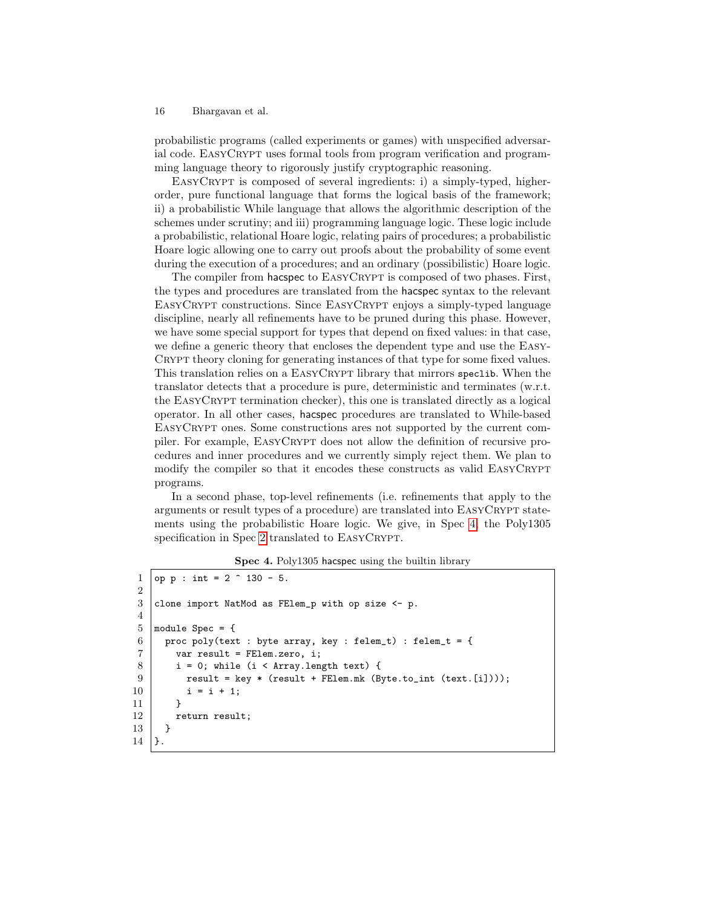probabilistic programs (called experiments or games) with unspecified adversarial code. EASYCRYPT uses formal tools from program verification and programming language theory to rigorously justify cryptographic reasoning.

EASYCRYPT is composed of several ingredients: i) a simply-typed, higherorder, pure functional language that forms the logical basis of the framework; ii) a probabilistic While language that allows the algorithmic description of the schemes under scrutiny; and iii) programming language logic. These logic include a probabilistic, relational Hoare logic, relating pairs of procedures; a probabilistic Hoare logic allowing one to carry out proofs about the probability of some event during the execution of a procedures; and an ordinary (possibilistic) Hoare logic.

The compiler from hacspec to EASYCRYPT is composed of two phases. First, the types and procedures are translated from the hacspec syntax to the relevant EASYCRYPT constructions. Since EASYCRYPT enjoys a simply-typed language discipline, nearly all refinements have to be pruned during this phase. However, we have some special support for types that depend on fixed values: in that case, we define a generic theory that encloses the dependent type and use the Easy-CRYPT theory cloning for generating instances of that type for some fixed values. This translation relies on a EasyCrypt library that mirrors speclib. When the translator detects that a procedure is pure, deterministic and terminates (w.r.t. the EasyCrypt termination checker), this one is translated directly as a logical operator. In all other cases, hacspec procedures are translated to While-based EasyCrypt ones. Some constructions ares not supported by the current compiler. For example, EasyCrypt does not allow the definition of recursive procedures and inner procedures and we currently simply reject them. We plan to modify the compiler so that it encodes these constructs as valid EASYCRYPT programs.

In a second phase, top-level refinements (i.e. refinements that apply to the arguments or result types of a procedure) are translated into EasyCrypt statements using the probabilistic Hoare logic. We give, in Spec 4, the Poly1305 specification in Spec 2 translated to EASYCRYPT.

| Spec 4. Poly1305 hacspec using the builtin library |  |  |  |
|----------------------------------------------------|--|--|--|
|                                                    |  |  |  |

```
1 | op p : int = 2 \hat{ } 130 - 5.
2
3 clone import NatMod as FElem_p with op size \leftarrow p.
4
5 \mid \text{module } Spec = \{6 proc poly(text : byte array, key : felem_t) : felem_t = {
7 var result = FElem.zero, i;
8 i = 0; while (i < Array.length text) {
9 result = key * (result + FElem.mk (Byte.to_int (text.[i])));
10 | i = i + 1;
11 }
12 return result;
13 }
14 | }.
```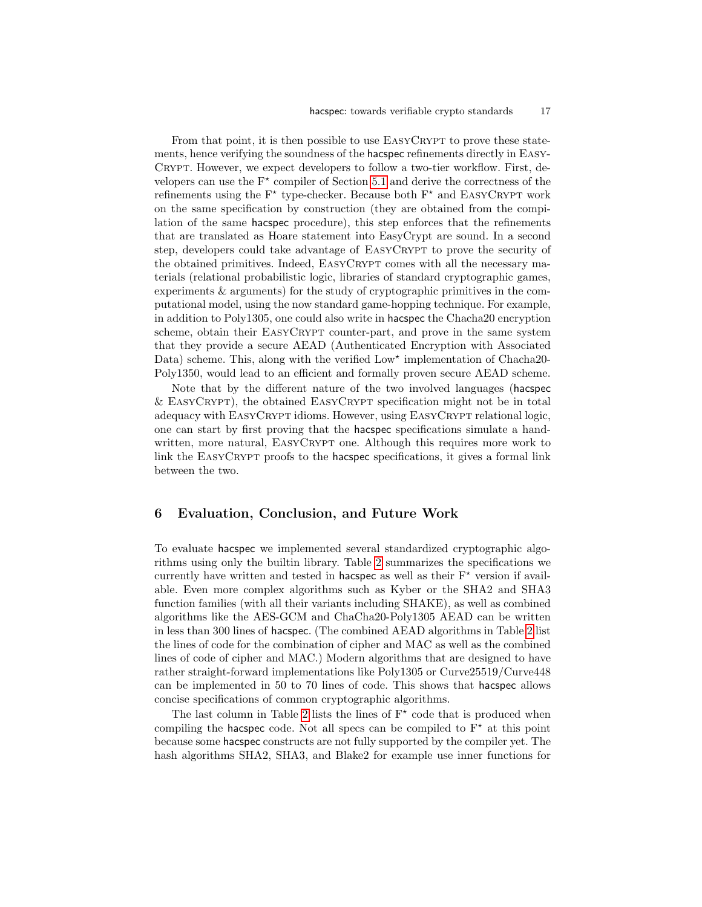From that point, it is then possible to use EASYCRYPT to prove these statements, hence verifying the soundness of the hacspec refinements directly in Easy-Crypt. However, we expect developers to follow a two-tier workflow. First, developers can use the  $F^*$  compiler of Section 5.1 and derive the correctness of the refinements using the  $F^*$  type-checker. Because both  $F^*$  and EASYCRYPT work on the same specification by construction (they are obtained from the compilation of the same hacspec procedure), this step enforces that the refinements that are translated as Hoare statement into EasyCrypt are sound. In a second step, developers could take advantage of EasyCrypt to prove the security of the obtained primitives. Indeed, EASYCRYPT comes with all the necessary materials (relational probabilistic logic, libraries of standard cryptographic games, experiments & arguments) for the study of cryptographic primitives in the computational model, using the now standard game-hopping technique. For example, in addition to Poly1305, one could also write in hacspec the Chacha20 encryption scheme, obtain their EasyCrypt counter-part, and prove in the same system that they provide a secure AEAD (Authenticated Encryption with Associated Data) scheme. This, along with the verified Low<sup>\*</sup> implementation of Chacha20-Poly1350, would lead to an efficient and formally proven secure AEAD scheme.

Note that by the different nature of the two involved languages (hacspec  $&$  EASYCRYPT), the obtained EASYCRYPT specification might not be in total adequacy with EASYCRYPT idioms. However, using EASYCRYPT relational logic, one can start by first proving that the hacspec specifications simulate a handwritten, more natural, EASYCRYPT one. Although this requires more work to link the EasyCrypt proofs to the hacspec specifications, it gives a formal link between the two.

## 6 Evaluation, Conclusion, and Future Work

To evaluate hacspec we implemented several standardized cryptographic algorithms using only the builtin library. Table 2 summarizes the specifications we currently have written and tested in hacspec as well as their  $F^*$  version if available. Even more complex algorithms such as Kyber or the SHA2 and SHA3 function families (with all their variants including SHAKE), as well as combined algorithms like the AES-GCM and ChaCha20-Poly1305 AEAD can be written in less than 300 lines of hacspec. (The combined AEAD algorithms in Table 2 list the lines of code for the combination of cipher and MAC as well as the combined lines of code of cipher and MAC.) Modern algorithms that are designed to have rather straight-forward implementations like Poly1305 or Curve25519/Curve448 can be implemented in 50 to 70 lines of code. This shows that hacspec allows concise specifications of common cryptographic algorithms.

The last column in Table 2 lists the lines of  $F^*$  code that is produced when compiling the hacspec code. Not all specs can be compiled to  $F^*$  at this point because some hacspec constructs are not fully supported by the compiler yet. The hash algorithms SHA2, SHA3, and Blake2 for example use inner functions for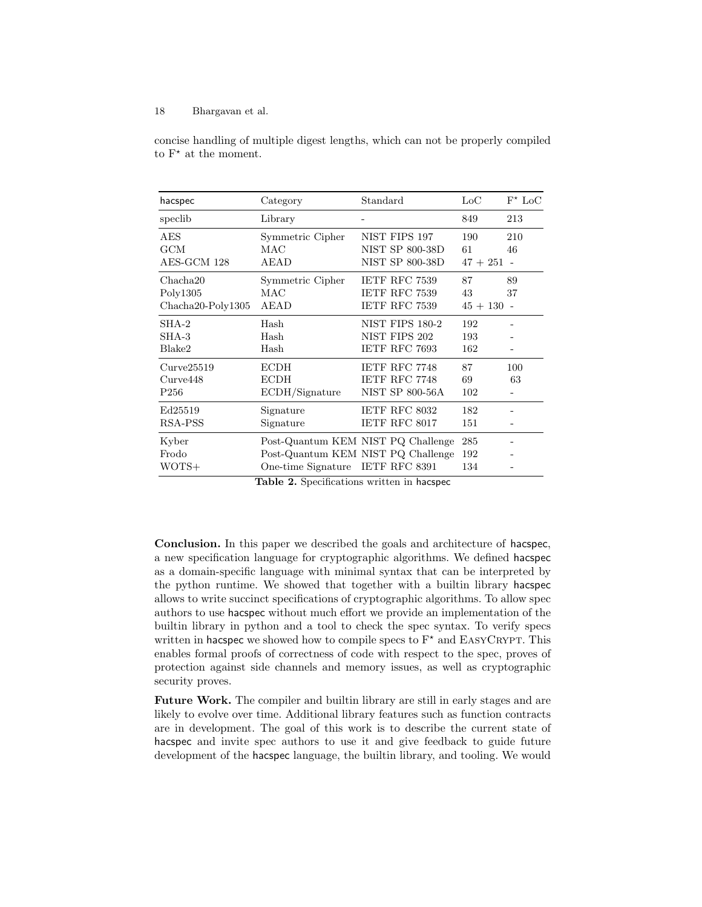| hacspec                                    | Category                                     | Standard                                                                 | $_{\text{LoC}}$           | $F^{\star}$ LoC |
|--------------------------------------------|----------------------------------------------|--------------------------------------------------------------------------|---------------------------|-----------------|
| speclib                                    | Library                                      |                                                                          | 849                       | 213             |
| <b>AES</b><br><b>GCM</b><br>AES-GCM 128    | Symmetric Cipher<br>MAC<br>AEAD              | NIST FIPS 197<br><b>NIST SP 800-38D</b><br><b>NIST SP 800-38D</b>        | 190<br>61<br>$47 + 251$ - | 210<br>46       |
| Chacha 20<br>Poly1305<br>Chacha20-Poly1305 | Symmetric Cipher<br>MAC<br>AEAD              | <b>IETF RFC 7539</b><br><b>IETF RFC 7539</b><br><b>IETF RFC 7539</b>     | 87<br>43<br>$45 + 130$ -  | 89<br>37        |
| $SHA-2$<br>$SHA-3$<br>Blake2               | Hash<br>Hash<br>Hash                         | NIST FIPS 180-2<br>NIST FIPS 202<br><b>IETF RFC 7693</b>                 | 192<br>193<br>162         |                 |
| Curve25519<br>Curve448<br>P <sub>256</sub> | <b>ECDH</b><br><b>ECDH</b><br>ECDH/Signature | IETF RFC 7748<br><b>IETF RFC 7748</b><br><b>NIST SP 800-56A</b>          | 87<br>69<br>102           | 100<br>63       |
| Ed25519<br>RSA-PSS                         | Signature<br>Signature                       | IETF RFC 8032<br>IETF RFC 8017                                           | 182<br>151                |                 |
| Kyber<br>Frodo<br>WOTS+                    | One-time Signature IETF RFC 8391             | Post-Quantum KEM NIST PQ Challenge<br>Post-Quantum KEM NIST PQ Challenge | 285<br>192<br>134         |                 |

concise handling of multiple digest lengths, which can not be properly compiled to  $F^*$  at the moment.

Table 2. Specifications written in hacspec

Conclusion. In this paper we described the goals and architecture of hacspec, a new specification language for cryptographic algorithms. We defined hacspec as a domain-specific language with minimal syntax that can be interpreted by the python runtime. We showed that together with a builtin library hacspec allows to write succinct specifications of cryptographic algorithms. To allow spec authors to use hacspec without much effort we provide an implementation of the builtin library in python and a tool to check the spec syntax. To verify specs written in hacspec we showed how to compile specs to  $F^*$  and EASYCRYPT. This enables formal proofs of correctness of code with respect to the spec, proves of protection against side channels and memory issues, as well as cryptographic security proves.

Future Work. The compiler and builtin library are still in early stages and are likely to evolve over time. Additional library features such as function contracts are in development. The goal of this work is to describe the current state of hacspec and invite spec authors to use it and give feedback to guide future development of the hacspec language, the builtin library, and tooling. We would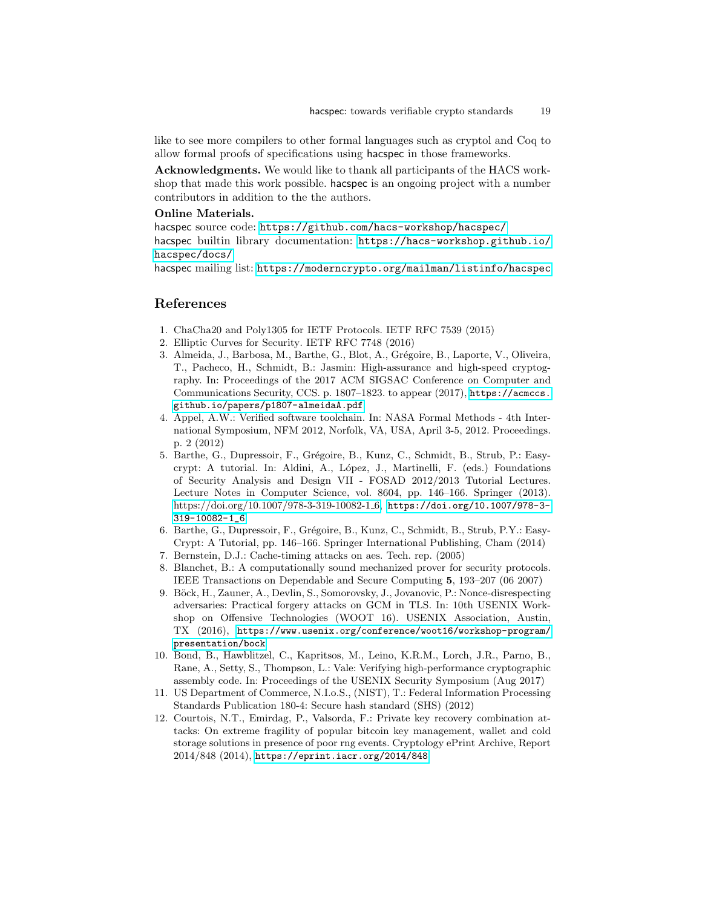like to see more compilers to other formal languages such as cryptol and Coq to allow formal proofs of specifications using hacspec in those frameworks.

Acknowledgments. We would like to thank all participants of the HACS workshop that made this work possible. hacspec is an ongoing project with a number contributors in addition to the the authors.

### Online Materials.

hacspec source code: <https://github.com/hacs-workshop/hacspec/> hacspec builtin library documentation: [https://hacs-workshop.github.io/](https://hacs-workshop.github.io/hacspec/docs/) [hacspec/docs/](https://hacs-workshop.github.io/hacspec/docs/)

hacspec mailing list: <https://moderncrypto.org/mailman/listinfo/hacspec>

## References

- 1. ChaCha20 and Poly1305 for IETF Protocols. IETF RFC 7539 (2015)
- 2. Elliptic Curves for Security. IETF RFC 7748 (2016)
- 3. Almeida, J., Barbosa, M., Barthe, G., Blot, A., Grégoire, B., Laporte, V., Oliveira, T., Pacheco, H., Schmidt, B.: Jasmin: High-assurance and high-speed cryptography. In: Proceedings of the 2017 ACM SIGSAC Conference on Computer and Communications Security, CCS. p. 1807–1823. to appear (2017), [https://acmccs.](https://acmccs.github.io/papers/p1807-almeidaA.pdf) [github.io/papers/p1807-almeidaA.pdf](https://acmccs.github.io/papers/p1807-almeidaA.pdf)
- 4. Appel, A.W.: Verified software toolchain. In: NASA Formal Methods 4th International Symposium, NFM 2012, Norfolk, VA, USA, April 3-5, 2012. Proceedings. p. 2 (2012)
- 5. Barthe, G., Dupressoir, F., Grégoire, B., Kunz, C., Schmidt, B., Strub, P.: Easycrypt: A tutorial. In: Aldini, A., L´opez, J., Martinelli, F. (eds.) Foundations of Security Analysis and Design VII - FOSAD 2012/2013 Tutorial Lectures. Lecture Notes in Computer Science, vol. 8604, pp. 146–166. Springer (2013). [https://doi.org/10.1007/978-3-319-10082-1](https://doi.org/10.1007/978-3-319-10082-1_6) 6, [https://doi.org/10.1007/978-3-](https://doi.org/10.1007/978-3-319-10082-1_6) [319-10082-1\\_6](https://doi.org/10.1007/978-3-319-10082-1_6)
- 6. Barthe, G., Dupressoir, F., Grégoire, B., Kunz, C., Schmidt, B., Strub, P.Y.: Easy-Crypt: A Tutorial, pp. 146–166. Springer International Publishing, Cham (2014)
- 7. Bernstein, D.J.: Cache-timing attacks on aes. Tech. rep. (2005)
- 8. Blanchet, B.: A computationally sound mechanized prover for security protocols. IEEE Transactions on Dependable and Secure Computing 5, 193–207 (06 2007)
- 9. Böck, H., Zauner, A., Devlin, S., Somorovsky, J., Jovanovic, P.: Nonce-disrespecting adversaries: Practical forgery attacks on GCM in TLS. In: 10th USENIX Workshop on Offensive Technologies (WOOT 16). USENIX Association, Austin, TX (2016), [https://www.usenix.org/conference/woot16/workshop-program/](https://www.usenix.org/conference/woot16/workshop-program/presentation/bock) [presentation/bock](https://www.usenix.org/conference/woot16/workshop-program/presentation/bock)
- 10. Bond, B., Hawblitzel, C., Kapritsos, M., Leino, K.R.M., Lorch, J.R., Parno, B., Rane, A., Setty, S., Thompson, L.: Vale: Verifying high-performance cryptographic assembly code. In: Proceedings of the USENIX Security Symposium (Aug 2017)
- 11. US Department of Commerce, N.I.o.S., (NIST), T.: Federal Information Processing Standards Publication 180-4: Secure hash standard (SHS) (2012)
- 12. Courtois, N.T., Emirdag, P., Valsorda, F.: Private key recovery combination attacks: On extreme fragility of popular bitcoin key management, wallet and cold storage solutions in presence of poor rng events. Cryptology ePrint Archive, Report 2014/848 (2014), <https://eprint.iacr.org/2014/848>